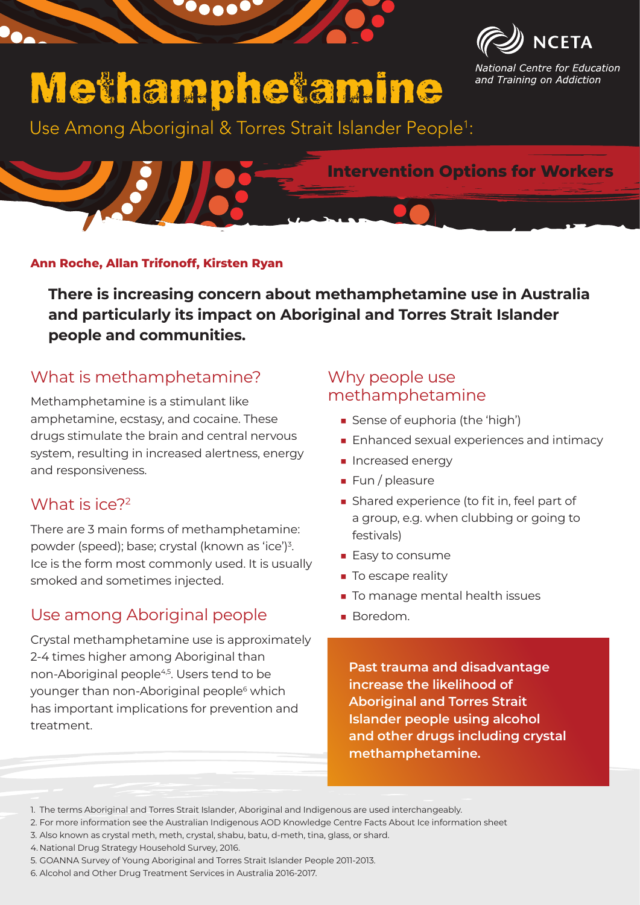



National Centre for Education and Training on Addiction

# Methamphetamine

Use Among Aboriginal & Torres Strait Islander People<sup>1</sup>:

### **Intervention Options for Workers**

### **Ann Roche, Allan Trifonoff, Kirsten Ryan**

**There is increasing concern about methamphetamine use in Australia and particularly its impact on Aboriginal and Torres Strait Islander people and communities.**

### What is methamphetamine?

Methamphetamine is a stimulant like amphetamine, ecstasy, and cocaine. These drugs stimulate the brain and central nervous system, resulting in increased alertness, energy and responsiveness.

### What is ice?<sup>2</sup>

There are 3 main forms of methamphetamine: powder (speed); base; crystal (known as 'ice')<sup>3</sup>. Ice is the form most commonly used. It is usually smoked and sometimes injected.

# Use among Aboriginal people

Crystal methamphetamine use is approximately 2-4 times higher among Aboriginal than non-Aboriginal people<sup>4,5</sup>. Users tend to be younger than non-Aboriginal people<sup>6</sup> which has important implications for prevention and treatment.

### Why people use methamphetamine

- Sense of euphoria (the 'high')
- Enhanced sexual experiences and intimacy
- Increased energy
- Fun / pleasure
- Shared experience (to fit in, feel part of a group, e.g. when clubbing or going to festivals)
- Easy to consume
- To escape reality
- To manage mental health issues
- Boredom

**Past trauma and disadvantage increase the likelihood of Aboriginal and Torres Strait Islander people using alcohol and other drugs including crystal methamphetamine.**

- 4. National Drug Strategy Household Survey, 2016.
- 5. GOANNA Survey of Young Aboriginal and Torres Strait Islander People 2011-2013.
- 6. Alcohol and Other Drug Treatment Services in Australia 2016-2017.

<sup>1.</sup> The terms Aboriginal and Torres Strait Islander, Aboriginal and Indigenous are used interchangeably.

<sup>2.</sup> For more information see the Australian Indigenous AOD Knowledge Centre Facts About Ice information sheet

<sup>3.</sup> Also known as crystal meth, meth, crystal, shabu, batu, d-meth, tina, glass, or shard.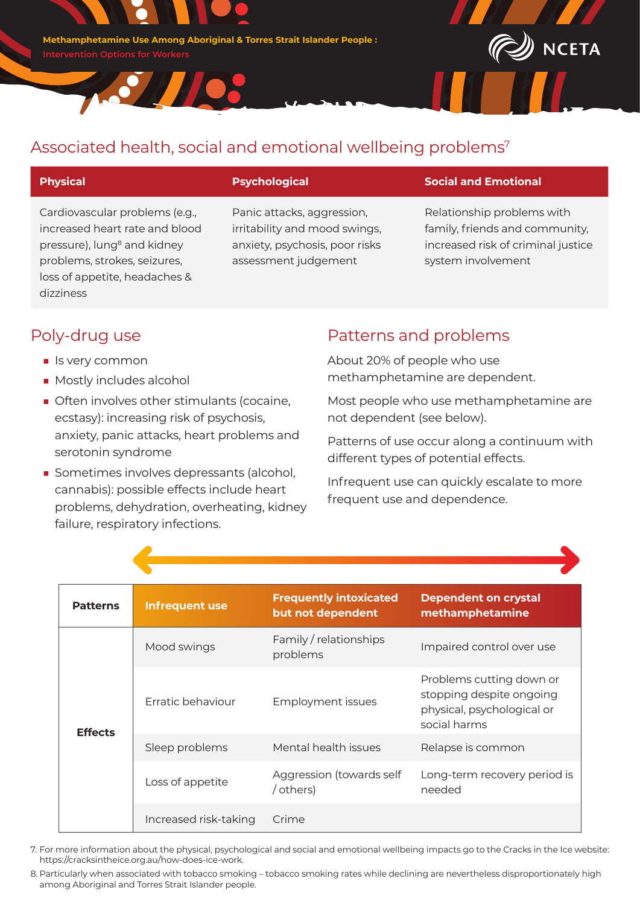**Methamphetamine Use Among Aboriginal & Torres Strait Islander People :**

37703



Cardiovascular problems (e.g., increased heart rate and blood pressure), lung<sup>8</sup> and kidney problems, strokes, seizures, loss of appetite, headaches & dizziness

Panic attacks, aggression, irritability and mood swings, anxiety, psychosis, poor risks assessment judgement

#### **Physical Psychological Social and Emotional**

Relationship problems with family, friends and community, increased risk of criminal justice system involvement

**NCETA** 

### Poly-drug use

- Is very common
- Mostly includes alcohol
- Often involves other stimulants (cocaine, ecstasy): increasing risk of psychosis, anxiety, panic attacks, heart problems and serotonin syndrome
- Sometimes involves depressants (alcohol, cannabis): possible effects include heart problems, dehydration, overheating, kidney failure, respiratory infections.

### Patterns and problems

About 20% of people who use methamphetamine are dependent.

Most people who use methamphetamine are not dependent (see below).

Patterns of use occur along a continuum with different types of potential effects.

Infrequent use can quickly escalate to more frequent use and dependence.

| <b>Patterns</b> | Infrequent use        | <b>Frequently intoxicated</b><br>but not dependent | <b>Dependent on crystal</b><br>methamphetamine                                                     |
|-----------------|-----------------------|----------------------------------------------------|----------------------------------------------------------------------------------------------------|
| <b>Effects</b>  | Mood swings           | Family / relationships<br>problems                 | Impaired control over use                                                                          |
|                 | Erratic behaviour     | <b>Employment issues</b>                           | Problems cutting down or<br>stopping despite ongoing<br>physical, psychological or<br>social harms |
|                 | Sleep problems        | Mental health issues                               | Relapse is common                                                                                  |
|                 | Loss of appetite      | Aggression (towards self<br>/ others)              | Long-term recovery period is<br>needed                                                             |
|                 | Increased risk-taking | Crime                                              |                                                                                                    |

7. For more information about the physical, psychological and social and emotional wellbeing impacts go to the Cracks in the Ice website: https://cracksintheice.org.au/how-does-ice-work.

8. Particularly when associated with tobacco smoking – tobacco smoking rates while declining are nevertheless disproportionately high among Aboriginal and Torres Strait Islander people.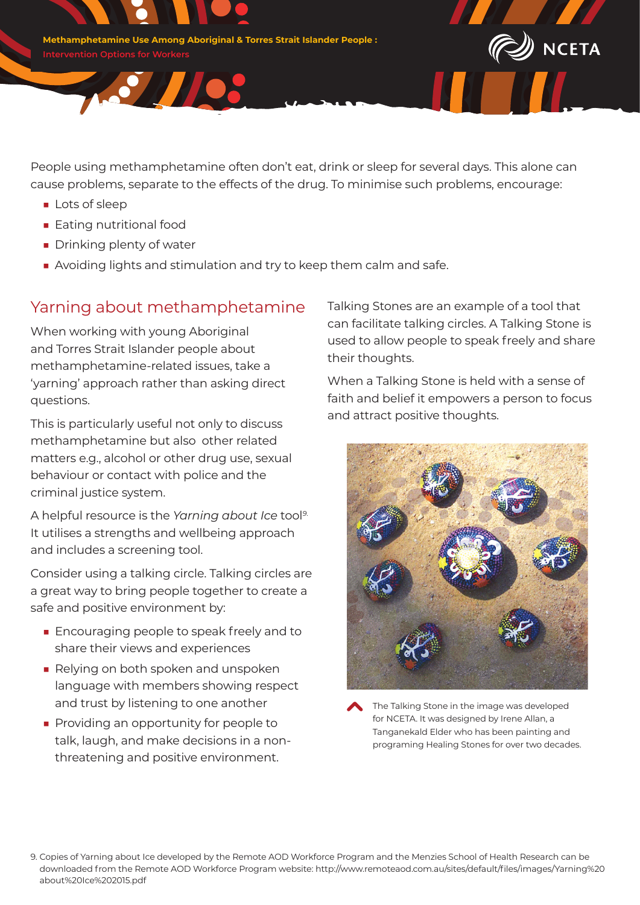**Methamphetamine Use Among Aboriginal & Torres Strait Islander People :**

<u>Sylles</u>

People using methamphetamine often don't eat, drink or sleep for several days. This alone can cause problems, separate to the effects of the drug. To minimise such problems, encourage:

- Lots of sleep
- Eating nutritional food
- Drinking plenty of water
- Avoiding lights and stimulation and try to keep them calm and safe.

### Yarning about methamphetamine

When working with young Aboriginal and Torres Strait Islander people about methamphetamine-related issues, take a 'yarning' approach rather than asking direct questions.

This is particularly useful not only to discuss methamphetamine but also other related matters e.g., alcohol or other drug use, sexual behaviour or contact with police and the criminal justice system.

A helpful resource is the *Yarning about Ice* tool*9*. It utilises a strengths and wellbeing approach and includes a screening tool.

Consider using a talking circle. Talking circles are a great way to bring people together to create a safe and positive environment by:

- Encouraging people to speak freely and to share their views and experiences
- Relying on both spoken and unspoken language with members showing respect and trust by listening to one another
- Providing an opportunity for people to talk, laugh, and make decisions in a nonthreatening and positive environment.

Talking Stones are an example of a tool that can facilitate talking circles. A Talking Stone is used to allow people to speak freely and share their thoughts.

 $\!\!\!\!\!D\!\!\!\!\!/\,\,$ NCETA

When a Talking Stone is held with a sense of faith and belief it empowers a person to focus and attract positive thoughts.





<sup>9.</sup> Copies of Yarning about Ice developed by the Remote AOD Workforce Program and the Menzies School of Health Research can be downloaded from the Remote AOD Workforce Program website: http://www.remoteaod.com.au/sites/default/files/images/Yarning%20 about%20Ice%202015.pdf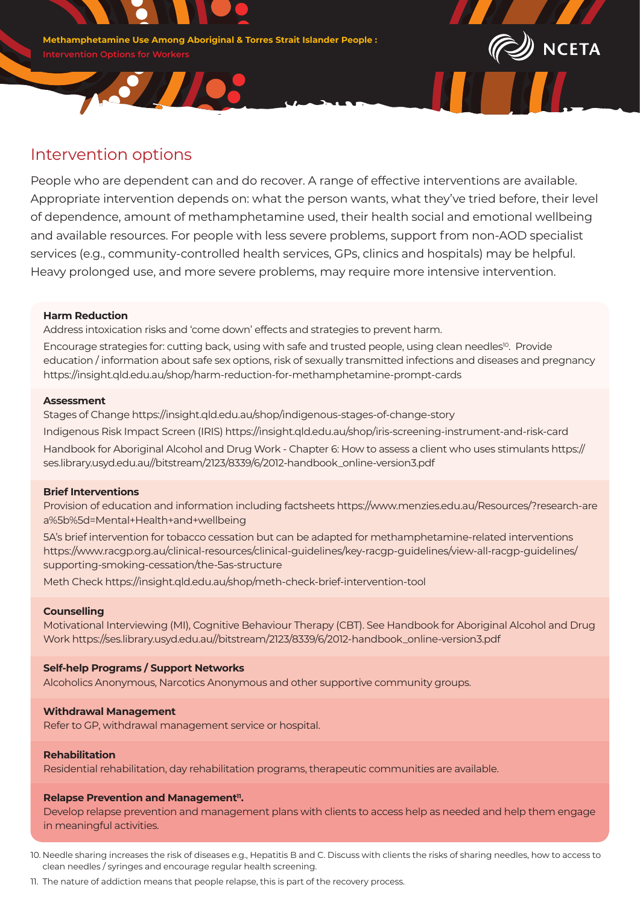**Methamphetamine Use Among Aboriginal & Torres Strait Islander People :**

<u>Sylvice</u>



People who are dependent can and do recover. A range of effective interventions are available. Appropriate intervention depends on: what the person wants, what they've tried before, their level of dependence, amount of methamphetamine used, their health social and emotional wellbeing and available resources. For people with less severe problems, support from non-AOD specialist services (e.g., community-controlled health services, GPs, clinics and hospitals) may be helpful. Heavy prolonged use, and more severe problems, may require more intensive intervention.

#### **Harm Reduction**

Address intoxication risks and 'come down' effects and strategies to prevent harm.

Encourage strategies for: cutting back, using with safe and trusted people, using clean needles<sup>10</sup>. Provide education / information about safe sex options, risk of sexually transmitted infections and diseases and pregnancy https://insight.qld.edu.au/shop/harm-reduction-for-methamphetamine-prompt-cards

#### **Assessment**

Stages of Change https://insight.qld.edu.au/shop/indigenous-stages-of-change-story Indigenous Risk Impact Screen (IRIS) https://insight.qld.edu.au/shop/iris-screening-instrument-and-risk-card Handbook for Aboriginal Alcohol and Drug Work - Chapter 6: How to assess a client who uses stimulants https:// ses.library.usyd.edu.au//bitstream/2123/8339/6/2012-handbook\_online-version3.pdf

#### **Brief Interventions**

Provision of education and information including factsheets https://www.menzies.edu.au/Resources/?research-are a%5b%5d=Mental+Health+and+wellbeing

5A's brief intervention for tobacco cessation but can be adapted for methamphetamine-related interventions https://www.racgp.org.au/clinical-resources/clinical-guidelines/key-racgp-guidelines/view-all-racgp-guidelines/ supporting-smoking-cessation/the-5as-structure

Meth Check https://insight.qld.edu.au/shop/meth-check-brief-intervention-tool

#### **Counselling**

Motivational Interviewing (MI), Cognitive Behaviour Therapy (CBT). See Handbook for Aboriginal Alcohol and Drug Work https://ses.library.usyd.edu.au//bitstream/2123/8339/6/2012-handbook\_online-version3.pdf

#### **Self-help Programs / Support Networks**

Alcoholics Anonymous, Narcotics Anonymous and other supportive community groups.

#### **Withdrawal Management**

Refer to GP, withdrawal management service or hospital.

#### **Rehabilitation**

Residential rehabilitation, day rehabilitation programs, therapeutic communities are available.

#### **Relapse Prevention and Management<sup>11</sup>.**

Develop relapse prevention and management plans with clients to access help as needed and help them engage in meaningful activities.

10. Needle sharing increases the risk of diseases e.g., Hepatitis B and C. Discuss with clients the risks of sharing needles, how to access to clean needles / syringes and encourage regular health screening.

11. The nature of addiction means that people relapse, this is part of the recovery process.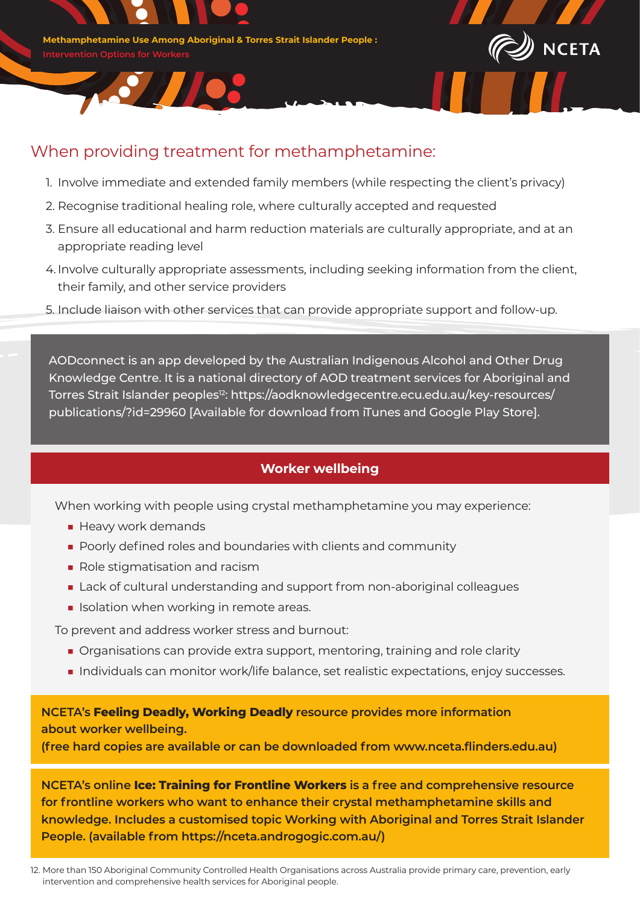

S // / O



## When providing treatment for methamphetamine:

- 1. Involve immediate and extended family members (while respecting the client's privacy)
- 2. Recognise traditional healing role, where culturally accepted and requested
- 3. Ensure all educational and harm reduction materials are culturally appropriate, and at an appropriate reading level
- 4.Involve culturally appropriate assessments, including seeking information from the client, their family, and other service providers
- 5. Include liaison with other services that can provide appropriate support and follow-up.

AODconnect is an app developed by the Australian Indigenous Alcohol and Other Drug Knowledge Centre. It is a national directory of AOD treatment services for Aboriginal and Torres Strait Islander peoples<sup>12</sup>: https://aodknowledgecentre.ecu.edu.au/key-resources/ publications/?id=29960 [Available for download from iTunes and Google Play Store].

### **Worker wellbeing**

When working with people using crystal methamphetamine you may experience:

- Heavy work demands
- Poorly defined roles and boundaries with clients and community
- Role stigmatisation and racism
- Lack of cultural understanding and support from non-aboriginal colleagues
- Isolation when working in remote areas.

To prevent and address worker stress and burnout:

- Organisations can provide extra support, mentoring, training and role clarity
- Individuals can monitor work/life balance, set realistic expectations, enjoy successes.

**NCETA's Feeling Deadly, Working Deadly resource provides more information about worker wellbeing.** 

**(free hard copies are available or can be downloaded from www.nceta.flinders.edu.au)** 

**NCETA's online Ice: Training for Frontline Workers is a free and comprehensive resource for frontline workers who want to enhance their crystal methamphetamine skills and knowledge. Includes a customised topic Working with Aboriginal and Torres Strait Islander People. (available from https://nceta.androgogic.com.au/)**